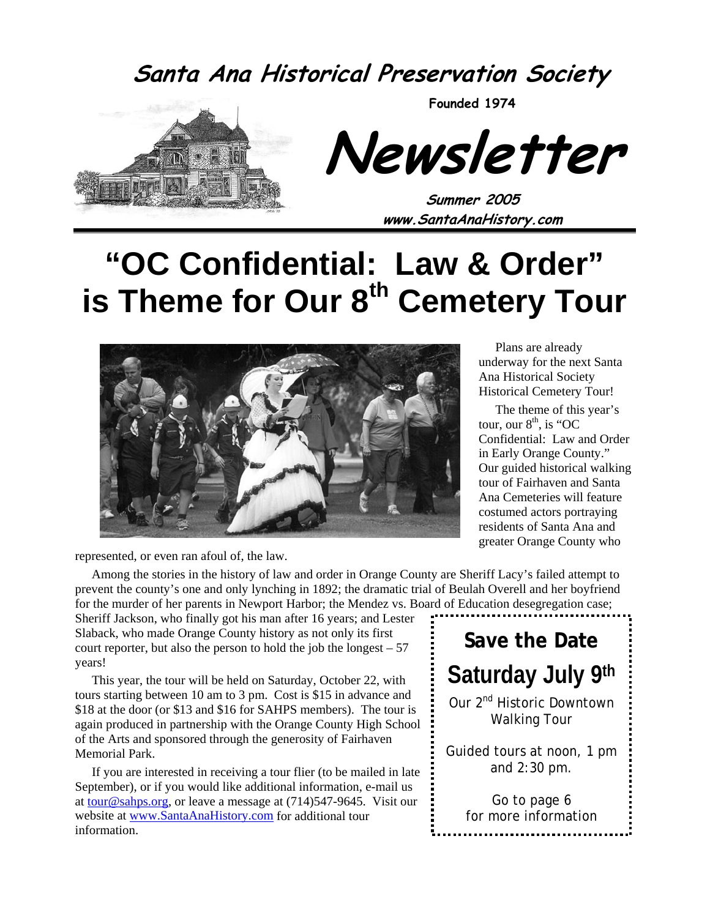**Santa Ana Historical Preservation Society**



**Founded 1974** 

**Newsletter** 

**Summer 2005 www.SantaAnaHistory.com** 

# **"OC Confidential: Law & Order" is Theme for Our 8th Cemetery Tour**



represented, or even ran afoul of, the law.

Among the stories in the history of law and order in Orange County are Sheriff Lacy's failed attempt to prevent the county's one and only lynching in 1892; the dramatic trial of Beulah Overell and her boyfriend for the murder of her parents in Newport Harbor; the Mendez vs. Board of Education desegregation case;

Sheriff Jackson, who finally got his man after 16 years; and Lester Slaback, who made Orange County history as not only its first court reporter, but also the person to hold the job the longest  $-57$ years!

This year, the tour will be held on Saturday, October 22, with tours starting between 10 am to 3 pm. Cost is \$15 in advance and \$18 at the door (or \$13 and \$16 for SAHPS members). The tour is again produced in partnership with the Orange County High School of the Arts and sponsored through the generosity of Fairhaven Memorial Park.

If you are interested in receiving a tour flier (to be mailed in late September), or if you would like additional information, e-mail us at tour@sahps.org, or leave a message at  $(714)547-9645$ . Visit our website at www.SantaAnaHistory.com for additional tour information.

**Save the Date Saturday July 9th**  Our 2<sup>nd</sup> Historic Downtown Walking Tour Guided tours at noon, 1 pm and 2:30 pm. Go to page 6 for more information

Plans are already underway for the next Santa Ana Historical Society Historical Cemetery Tour!

The theme of this year's tour, our  $8<sup>th</sup>$ , is "OC Confidential: Law and Order in Early Orange County." Our guided historical walking tour of Fairhaven and Santa Ana Cemeteries will feature costumed actors portraying residents of Santa Ana and greater Orange County who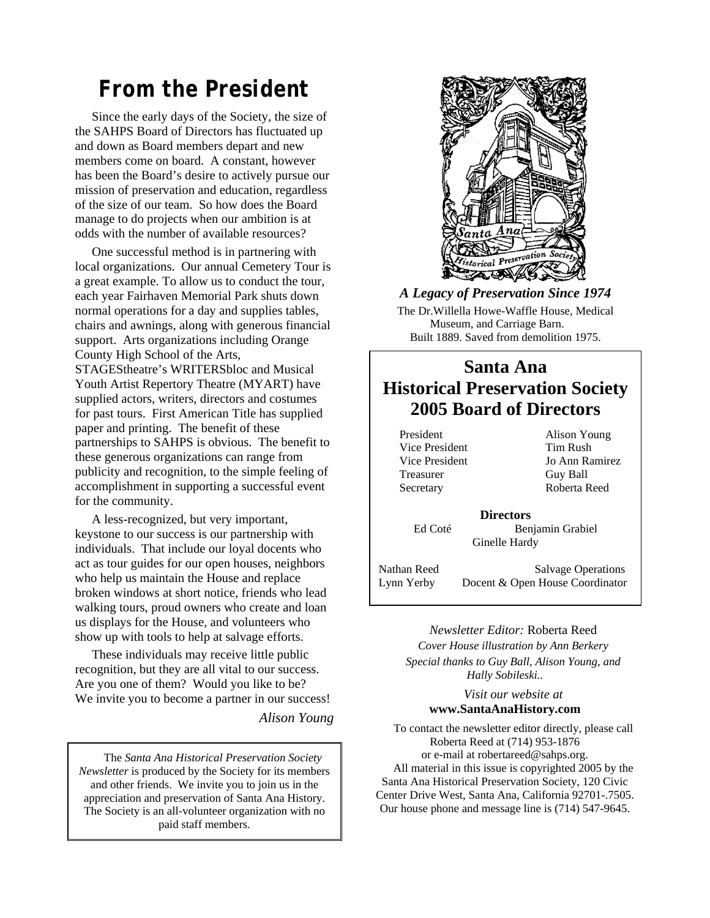### *From the President*

Since the early days of the Society, the size of the SAHPS Board of Directors has fluctuated up and down as Board members depart and new members come on board. A constant, however has been the Board's desire to actively pursue our mission of preservation and education, regardless of the size of our team. So how does the Board manage to do projects when our ambition is at odds with the number of available resources?

One successful method is in partnering with local organizations. Our annual Cemetery Tour is a great example. To allow us to conduct the tour, each year Fairhaven Memorial Park shuts down normal operations for a day and supplies tables, chairs and awnings, along with generous financial support. Arts organizations including Orange County High School of the Arts, STAGEStheatre's WRITERSbloc and Musical Youth Artist Repertory Theatre (MYART) have supplied actors, writers, directors and costumes for past tours. First American Title has supplied paper and printing. The benefit of these partnerships to SAHPS is obvious. The benefit to these generous organizations can range from publicity and recognition, to the simple feeling of accomplishment in supporting a successful event for the community.

A less-recognized, but very important, keystone to our success is our partnership with individuals. That include our loyal docents who act as tour guides for our open houses, neighbors who help us maintain the House and replace broken windows at short notice, friends who lead walking tours, proud owners who create and loan us displays for the House, and volunteers who show up with tools to help at salvage efforts.

These individuals may receive little public recognition, but they are all vital to our success. Are you one of them? Would you like to be? We invite you to become a partner in our success!

*Alison Young* 

The *Santa Ana Historical Preservation Society Newsletter* is produced by the Society for its members and other friends. We invite you to join us in the appreciation and preservation of Santa Ana History. The Society is an all-volunteer organization with no paid staff members.



#### *A Legacy of Preservation Since 1974*

The Dr.Willella Howe-Waffle House, Medical Museum, and Carriage Barn. Built 1889. Saved from demolition 1975.

#### **Santa Ana Historical Preservation Society 2005 Board of Directors**

President Alison Young Vice President Tim Rush Treasurer Guy Ball

Vice President Jo Ann Ramirez Secretary Roberta Reed

**Directors**  Ed Coté Benjamin Grabiel

Ginelle Hardy

Nathan Reed Salvage Operations Lynn Yerby Docent & Open House Coordinator

#### *Newsletter Editor:* Roberta Reed

*Cover House illustration by Ann Berkery Special thanks to Guy Ball, Alison Young, and Hally Sobileski..* 

#### *Visit our website at*  **www.SantaAnaHistory.com**

To contact the newsletter editor directly, please call Roberta Reed at (714) 953-1876 or e-mail at robertareed@sahps.org. All material in this issue is copyrighted 2005 by the Santa Ana Historical Preservation Society, 120 Civic Center Drive West, Santa Ana, California 92701-.7505. Our house phone and message line is (714) 547-9645.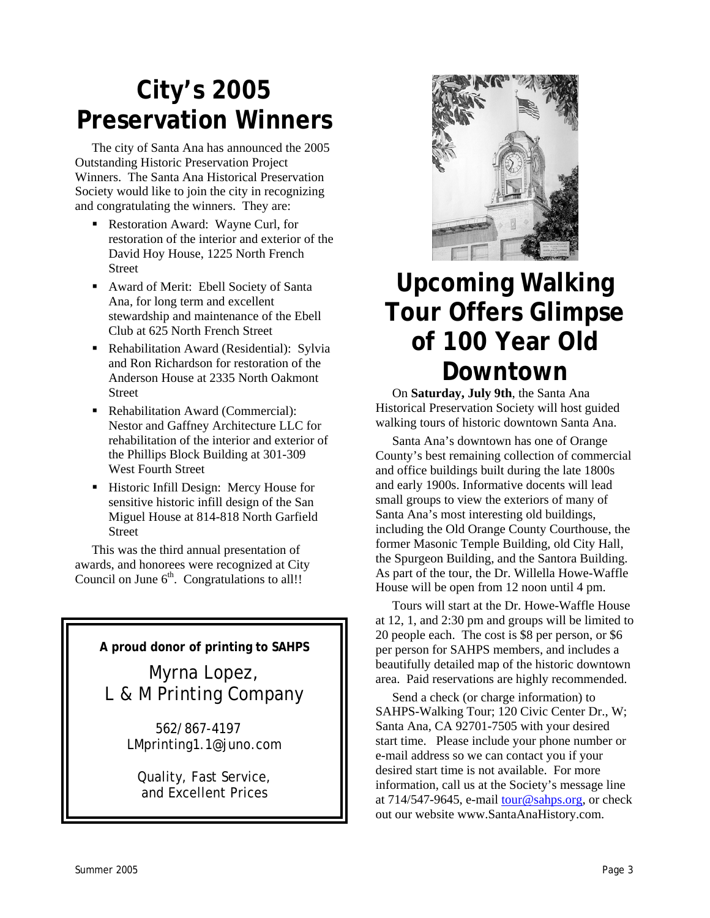## **City's 2005 Preservation Winners**

The city of Santa Ana has announced the 2005 Outstanding Historic Preservation Project Winners. The Santa Ana Historical Preservation Society would like to join the city in recognizing and congratulating the winners. They are:

- Restoration Award: Wayne Curl, for restoration of the interior and exterior of the David Hoy House, 1225 North French Street
- Award of Merit: Ebell Society of Santa Ana, for long term and excellent stewardship and maintenance of the Ebell Club at 625 North French Street
- Rehabilitation Award (Residential): Sylvia and Ron Richardson for restoration of the Anderson House at 2335 North Oakmont Street
- Rehabilitation Award (Commercial): Nestor and Gaffney Architecture LLC for rehabilitation of the interior and exterior of the Phillips Block Building at 301-309 West Fourth Street
- **Historic Infill Design: Mercy House for** sensitive historic infill design of the San Miguel House at 814-818 North Garfield Street

This was the third annual presentation of awards, and honorees were recognized at City Council on June  $6<sup>th</sup>$ . Congratulations to all!!

**A proud donor of printing to SAHPS** 

Myrna Lopez, L & M Printing Company

> 562/867-4197 LMprinting1.1@juno.com

Quality, Fast Service, and Excellent Prices



## **Upcoming Walking Tour Offers Glimpse of 100 Year Old Downtown**

On **Saturday, July 9th**, the Santa Ana Historical Preservation Society will host guided walking tours of historic downtown Santa Ana.

Santa Ana's downtown has one of Orange County's best remaining collection of commercial and office buildings built during the late 1800s and early 1900s. Informative docents will lead small groups to view the exteriors of many of Santa Ana's most interesting old buildings, including the Old Orange County Courthouse, the former Masonic Temple Building, old City Hall, the Spurgeon Building, and the Santora Building. As part of the tour, the Dr. Willella Howe-Waffle House will be open from 12 noon until 4 pm.

Tours will start at the Dr. Howe-Waffle House at 12, 1, and 2:30 pm and groups will be limited to 20 people each. The cost is \$8 per person, or \$6 per person for SAHPS members, and includes a beautifully detailed map of the historic downtown area. Paid reservations are highly recommended.

Send a check (or charge information) to SAHPS-Walking Tour; 120 Civic Center Dr., W; Santa Ana, CA 92701-7505 with your desired start time. Please include your phone number or e-mail address so we can contact you if your desired start time is not available. For more information, call us at the Society's message line at  $714/547-9645$ , e-mail tour@sahps.org, or check out our website www.SantaAnaHistory.com.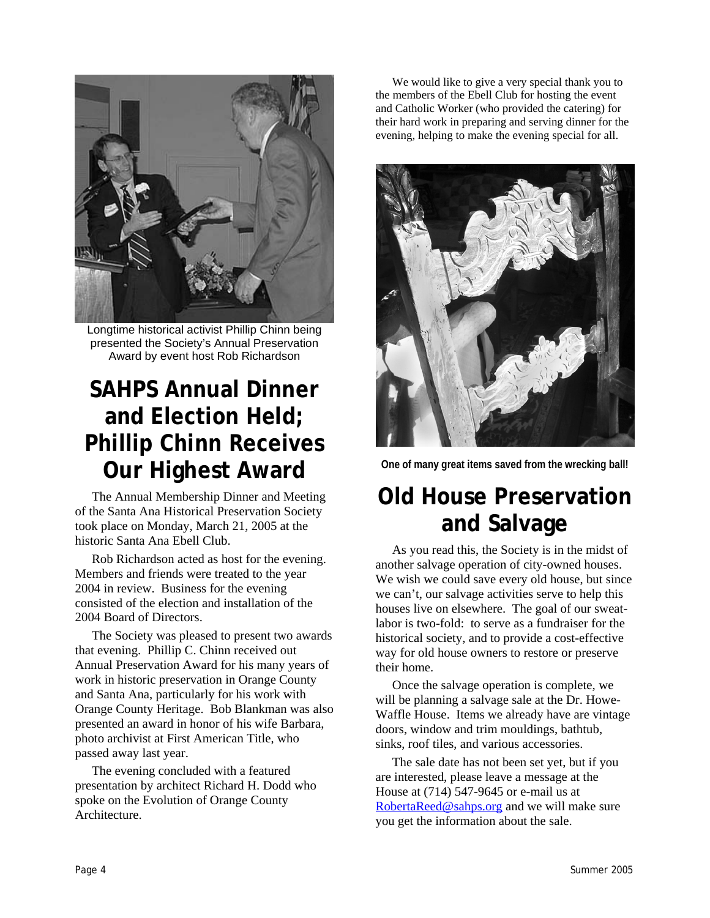

Longtime historical activist Phillip Chinn being presented the Society's Annual Preservation Award by event host Rob Richardson

## **SAHPS Annual Dinner and Election Held; Phillip Chinn Receives Our Highest Award**

The Annual Membership Dinner and Meeting of the Santa Ana Historical Preservation Society took place on Monday, March 21, 2005 at the historic Santa Ana Ebell Club.

Rob Richardson acted as host for the evening. Members and friends were treated to the year 2004 in review. Business for the evening consisted of the election and installation of the 2004 Board of Directors.

The Society was pleased to present two awards that evening. Phillip C. Chinn received out Annual Preservation Award for his many years of work in historic preservation in Orange County and Santa Ana, particularly for his work with Orange County Heritage. Bob Blankman was also presented an award in honor of his wife Barbara, photo archivist at First American Title, who passed away last year.

The evening concluded with a featured presentation by architect Richard H. Dodd who spoke on the Evolution of Orange County **Architecture** 

We would like to give a very special thank you to the members of the Ebell Club for hosting the event and Catholic Worker (who provided the catering) for their hard work in preparing and serving dinner for the evening, helping to make the evening special for all.



**One of many great items saved from the wrecking ball!** 

### **Old House Preservation and Salvage**

As you read this, the Society is in the midst of another salvage operation of city-owned houses. We wish we could save every old house, but since we can't, our salvage activities serve to help this houses live on elsewhere. The goal of our sweatlabor is two-fold: to serve as a fundraiser for the historical society, and to provide a cost-effective way for old house owners to restore or preserve their home.

Once the salvage operation is complete, we will be planning a salvage sale at the Dr. Howe-Waffle House. Items we already have are vintage doors, window and trim mouldings, bathtub, sinks, roof tiles, and various accessories.

The sale date has not been set yet, but if you are interested, please leave a message at the House at (714) 547-9645 or e-mail us at RobertaReed@sahps.org and we will make sure you get the information about the sale.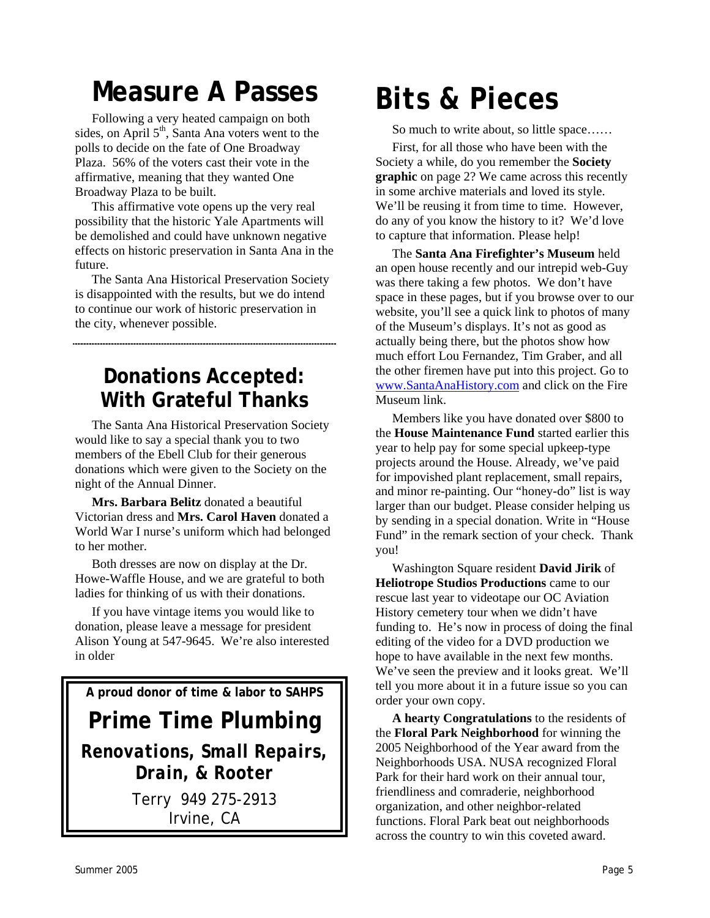# **Measure A Passes**

Following a very heated campaign on both sides, on April  $5<sup>th</sup>$ , Santa Ana voters went to the polls to decide on the fate of One Broadway Plaza. 56% of the voters cast their vote in the affirmative, meaning that they wanted One Broadway Plaza to be built.

This affirmative vote opens up the very real possibility that the historic Yale Apartments will be demolished and could have unknown negative effects on historic preservation in Santa Ana in the future.

The Santa Ana Historical Preservation Society is disappointed with the results, but we do intend to continue our work of historic preservation in the city, whenever possible.

### **Donations Accepted: With Grateful Thanks**

The Santa Ana Historical Preservation Society would like to say a special thank you to two members of the Ebell Club for their generous donations which were given to the Society on the night of the Annual Dinner.

**Mrs. Barbara Belitz** donated a beautiful Victorian dress and **Mrs. Carol Haven** donated a World War I nurse's uniform which had belonged to her mother.

Both dresses are now on display at the Dr. Howe-Waffle House, and we are grateful to both ladies for thinking of us with their donations.

If you have vintage items you would like to donation, please leave a message for president Alison Young at 547-9645. We're also interested in older

**A proud donor of time & labor to SAHPS** 

**Prime Time Plumbing** 

*Renovations, Small Repairs, Drain, & Rooter* 

> Terry 949 275-2913 Irvine, CA

# *Bits & Pieces*

So much to write about, so little space……

First, for all those who have been with the Society a while, do you remember the **Society graphic** on page 2? We came across this recently in some archive materials and loved its style. We'll be reusing it from time to time. However, do any of you know the history to it? We'd love to capture that information. Please help!

The **Santa Ana Firefighter's Museum** held an open house recently and our intrepid web-Guy was there taking a few photos. We don't have space in these pages, but if you browse over to our website, you'll see a quick link to photos of many of the Museum's displays. It's not as good as actually being there, but the photos show how much effort Lou Fernandez, Tim Graber, and all the other firemen have put into this project. Go to www.SantaAnaHistory.com and click on the Fire Museum link.

Members like you have donated over \$800 to the **House Maintenance Fund** started earlier this year to help pay for some special upkeep-type projects around the House. Already, we've paid for impovished plant replacement, small repairs, and minor re-painting. Our "honey-do" list is way larger than our budget. Please consider helping us by sending in a special donation. Write in "House Fund" in the remark section of your check. Thank you!

Washington Square resident **David Jirik** of **Heliotrope Studios Productions** came to our rescue last year to videotape our OC Aviation History cemetery tour when we didn't have funding to. He's now in process of doing the final editing of the video for a DVD production we hope to have available in the next few months. We've seen the preview and it looks great. We'll tell you more about it in a future issue so you can order your own copy.

**A hearty Congratulations** to the residents of the **Floral Park Neighborhood** for winning the 2005 Neighborhood of the Year award from the Neighborhoods USA. NUSA recognized Floral Park for their hard work on their annual tour, friendliness and comraderie, neighborhood organization, and other neighbor-related functions. Floral Park beat out neighborhoods across the country to win this coveted award.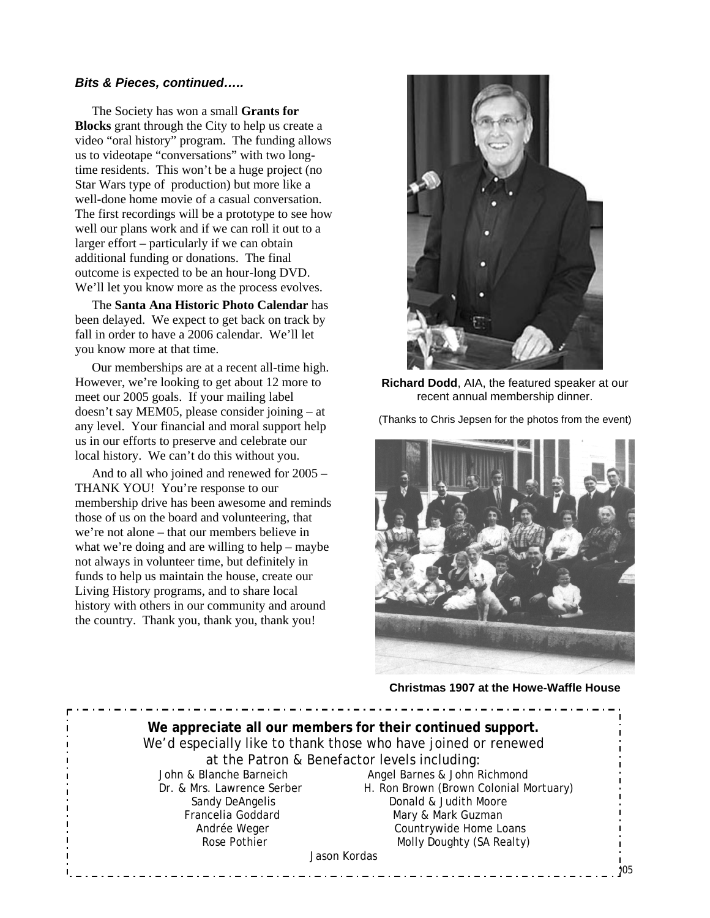#### *Bits & Pieces, continued…..*

The Society has won a small **Grants for Blocks** grant through the City to help us create a video "oral history" program. The funding allows us to videotape "conversations" with two longtime residents. This won't be a huge project (no Star Wars type of production) but more like a well-done home movie of a casual conversation. The first recordings will be a prototype to see how well our plans work and if we can roll it out to a larger effort – particularly if we can obtain additional funding or donations. The final outcome is expected to be an hour-long DVD. We'll let you know more as the process evolves.

The **Santa Ana Historic Photo Calendar** has been delayed. We expect to get back on track by fall in order to have a 2006 calendar. We'll let you know more at that time.

Our memberships are at a recent all-time high. However, we're looking to get about 12 more to meet our 2005 goals. If your mailing label doesn't say MEM05, please consider joining – at any level. Your financial and moral support help us in our efforts to preserve and celebrate our local history. We can't do this without you.

And to all who joined and renewed for 2005 – THANK YOU! You're response to our membership drive has been awesome and reminds those of us on the board and volunteering, that we're not alone – that our members believe in what we're doing and are willing to help – maybe not always in volunteer time, but definitely in funds to help us maintain the house, create our Living History programs, and to share local history with others in our community and around the country. Thank you, thank you, thank you!



**Richard Dodd**, AIA, the featured speaker at our recent annual membership dinner.

(Thanks to Chris Jepsen for the photos from the event)



**Christmas 1907 at the Howe-Waffle House**

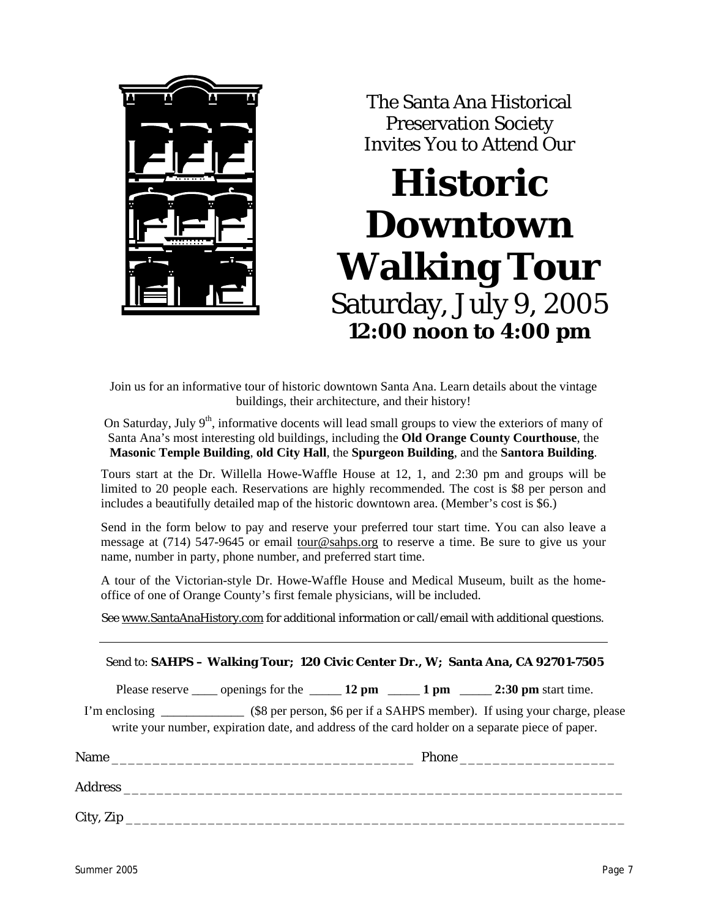

The Santa Ana Historical Preservation Society Invites You to Attend Our

# **Historic Downtown Walking Tour**  Saturday, July 9, 2005 **12:00 noon to 4:00 pm**

Join us for an informative tour of historic downtown Santa Ana. Learn details about the vintage buildings, their architecture, and their history!

On Saturday, July 9<sup>th</sup>, informative docents will lead small groups to view the exteriors of many of Santa Ana's most interesting old buildings, including the **Old Orange County Courthouse**, the **Masonic Temple Building**, **old City Hall**, the **Spurgeon Building**, and the **Santora Building**.

Tours start at the Dr. Willella Howe-Waffle House at 12, 1, and 2:30 pm and groups will be limited to 20 people each. Reservations are highly recommended. The cost is \$8 per person and includes a beautifully detailed map of the historic downtown area. (Member's cost is \$6.)

Send in the form below to pay and reserve your preferred tour start time. You can also leave a message at (714) 547-9645 or email tour@sahps.org to reserve a time. Be sure to give us your name, number in party, phone number, and preferred start time.

A tour of the Victorian-style Dr. Howe-Waffle House and Medical Museum, built as the homeoffice of one of Orange County's first female physicians, will be included.

See www.SantaAnaHistory.com for additional information or call/email with additional questions.

| Send to: SAHPS - Walking Tour; 120 Civic Center Dr., W; Santa Ana, CA 92701-7505 |                                                                                                  |  |
|----------------------------------------------------------------------------------|--------------------------------------------------------------------------------------------------|--|
|                                                                                  | Please reserve ______ openings for the _______ 12 pm ________ 1 pm _______ 2:30 pm start time.   |  |
|                                                                                  | write your number, expiration date, and address of the card holder on a separate piece of paper. |  |
|                                                                                  |                                                                                                  |  |
|                                                                                  |                                                                                                  |  |
|                                                                                  |                                                                                                  |  |